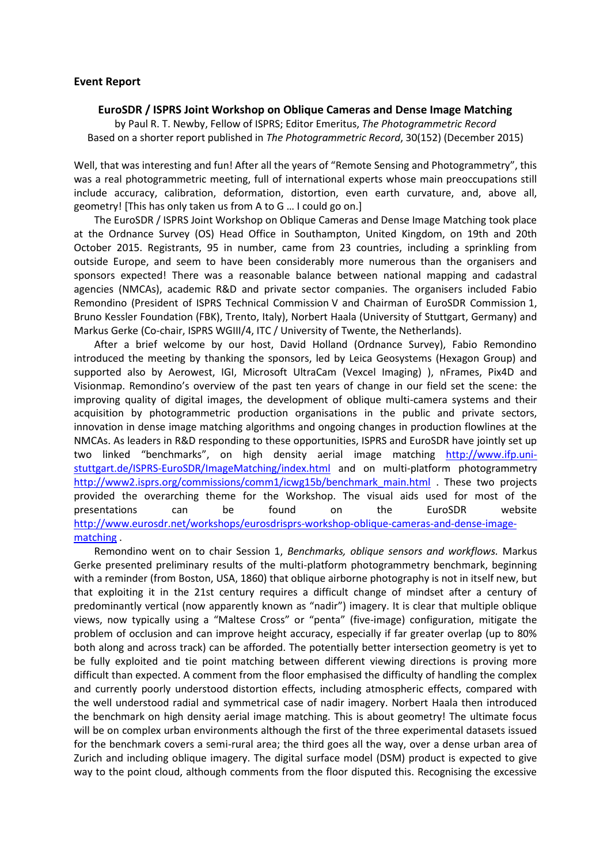## **Event Report**

## **EuroSDR / ISPRS Joint Workshop on Oblique Cameras and Dense Image Matching**

by Paul R. T. Newby, Fellow of ISPRS; Editor Emeritus, *The Photogrammetric Record* Based on a shorter report published in *The Photogrammetric Record*, 30(152) (December 2015)

Well, that was interesting and fun! After all the years of "Remote Sensing and Photogrammetry", this was a real photogrammetric meeting, full of international experts whose main preoccupations still include accuracy, calibration, deformation, distortion, even earth curvature, and, above all, geometry! [This has only taken us from A to G … I could go on.]

The EuroSDR / ISPRS Joint Workshop on Oblique Cameras and Dense Image Matching took place at the Ordnance Survey (OS) Head Office in Southampton, United Kingdom, on 19th and 20th October 2015. Registrants, 95 in number, came from 23 countries, including a sprinkling from outside Europe, and seem to have been considerably more numerous than the organisers and sponsors expected! There was a reasonable balance between national mapping and cadastral agencies (NMCAs), academic R&D and private sector companies. The organisers included Fabio Remondino (President of ISPRS Technical Commission V and Chairman of EuroSDR Commission 1, Bruno Kessler Foundation (FBK), Trento, Italy), Norbert Haala (University of Stuttgart, Germany) and Markus Gerke (Co-chair, ISPRS WGIII/4, ITC / University of Twente, the Netherlands).

After a brief welcome by our host, David Holland (Ordnance Survey), Fabio Remondino introduced the meeting by thanking the sponsors, led by Leica Geosystems (Hexagon Group) and supported also by Aerowest, IGI, Microsoft UltraCam (Vexcel Imaging) ), nFrames, Pix4D and Visionmap. Remondino's overview of the past ten years of change in our field set the scene: the improving quality of digital images, the development of oblique multi-camera systems and their acquisition by photogrammetric production organisations in the public and private sectors, innovation in dense image matching algorithms and ongoing changes in production flowlines at the NMCAs. As leaders in R&D responding to these opportunities, ISPRS and EuroSDR have jointly set up two linked "benchmarks", on high density aerial image matching [http://www.ifp.uni](http://www.ifp.uni-stuttgart.de/ISPRS-EuroSDR/ImageMatching/index.html)[stuttgart.de/ISPRS-EuroSDR/ImageMatching/index.html](http://www.ifp.uni-stuttgart.de/ISPRS-EuroSDR/ImageMatching/index.html) and on multi-platform photogrammetry [http://www2.isprs.org/commissions/comm1/icwg15b/benchmark\\_main.html](http://www2.isprs.org/commissions/comm1/icwg15b/benchmark_main.html) . These two projects provided the overarching theme for the Workshop. The visual aids used for most of the presentations can be found on the EuroSDR website [http://www.eurosdr.net/workshops/eurosdrisprs-workshop-oblique-cameras-and-dense-image](http://www.eurosdr.net/workshops/eurosdrisprs-workshop-oblique-cameras-and-dense-image-matching)[matching](http://www.eurosdr.net/workshops/eurosdrisprs-workshop-oblique-cameras-and-dense-image-matching) .

Remondino went on to chair Session 1, *Benchmarks, oblique sensors and workflows.* Markus Gerke presented preliminary results of the multi-platform photogrammetry benchmark, beginning with a reminder (from Boston, USA, 1860) that oblique airborne photography is not in itself new, but that exploiting it in the 21st century requires a difficult change of mindset after a century of predominantly vertical (now apparently known as "nadir") imagery. It is clear that multiple oblique views, now typically using a "Maltese Cross" or "penta" (five-image) configuration, mitigate the problem of occlusion and can improve height accuracy, especially if far greater overlap (up to 80% both along and across track) can be afforded. The potentially better intersection geometry is yet to be fully exploited and tie point matching between different viewing directions is proving more difficult than expected. A comment from the floor emphasised the difficulty of handling the complex and currently poorly understood distortion effects, including atmospheric effects, compared with the well understood radial and symmetrical case of nadir imagery. Norbert Haala then introduced the benchmark on high density aerial image matching. This is about geometry! The ultimate focus will be on complex urban environments although the first of the three experimental datasets issued for the benchmark covers a semi-rural area; the third goes all the way, over a dense urban area of Zurich and including oblique imagery. The digital surface model (DSM) product is expected to give way to the point cloud, although comments from the floor disputed this. Recognising the excessive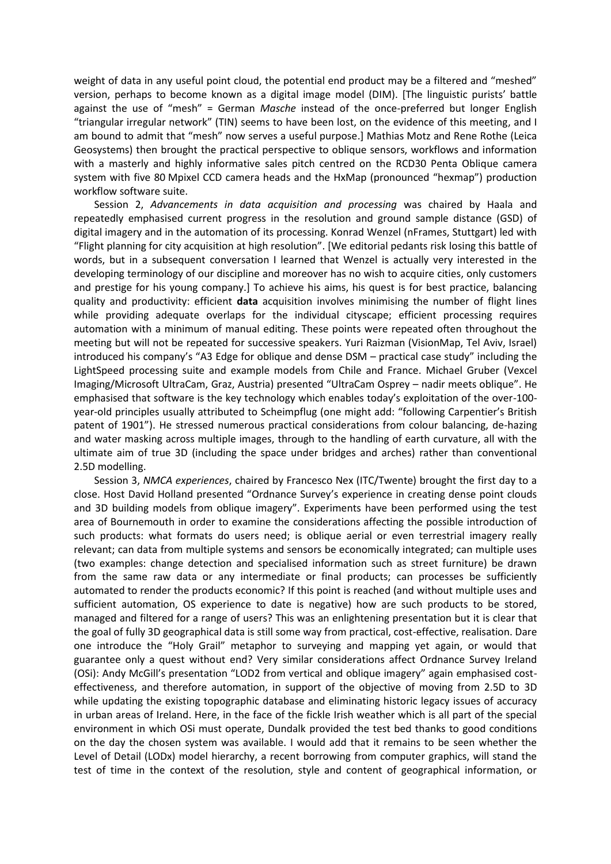weight of data in any useful point cloud, the potential end product may be a filtered and "meshed" version, perhaps to become known as a digital image model (DIM). [The linguistic purists' battle against the use of "mesh" = German *Masche* instead of the once-preferred but longer English "triangular irregular network" (TIN) seems to have been lost, on the evidence of this meeting, and I am bound to admit that "mesh" now serves a useful purpose.] Mathias Motz and Rene Rothe (Leica Geosystems) then brought the practical perspective to oblique sensors, workflows and information with a masterly and highly informative sales pitch centred on the RCD30 Penta Oblique camera system with five 80 Mpixel CCD camera heads and the HxMap (pronounced "hexmap") production workflow software suite.

Session 2, *Advancements in data acquisition and processing* was chaired by Haala and repeatedly emphasised current progress in the resolution and ground sample distance (GSD) of digital imagery and in the automation of its processing. Konrad Wenzel (nFrames, Stuttgart) led with "Flight planning for city acquisition at high resolution". [We editorial pedants risk losing this battle of words, but in a subsequent conversation I learned that Wenzel is actually very interested in the developing terminology of our discipline and moreover has no wish to acquire cities, only customers and prestige for his young company.] To achieve his aims, his quest is for best practice, balancing quality and productivity: efficient **data** acquisition involves minimising the number of flight lines while providing adequate overlaps for the individual cityscape; efficient processing requires automation with a minimum of manual editing. These points were repeated often throughout the meeting but will not be repeated for successive speakers. Yuri Raizman (VisionMap, Tel Aviv, Israel) introduced his company's "A3 Edge for oblique and dense DSM – practical case study" including the LightSpeed processing suite and example models from Chile and France. Michael Gruber (Vexcel Imaging/Microsoft UltraCam, Graz, Austria) presented "UltraCam Osprey – nadir meets oblique". He emphasised that software is the key technology which enables today's exploitation of the over-100 year-old principles usually attributed to Scheimpflug (one might add: "following Carpentier's British patent of 1901"). He stressed numerous practical considerations from colour balancing, de-hazing and water masking across multiple images, through to the handling of earth curvature, all with the ultimate aim of true 3D (including the space under bridges and arches) rather than conventional 2.5D modelling.

Session 3, *NMCA experiences*, chaired by Francesco Nex (ITC/Twente) brought the first day to a close. Host David Holland presented "Ordnance Survey's experience in creating dense point clouds and 3D building models from oblique imagery". Experiments have been performed using the test area of Bournemouth in order to examine the considerations affecting the possible introduction of such products: what formats do users need; is oblique aerial or even terrestrial imagery really relevant; can data from multiple systems and sensors be economically integrated; can multiple uses (two examples: change detection and specialised information such as street furniture) be drawn from the same raw data or any intermediate or final products; can processes be sufficiently automated to render the products economic? If this point is reached (and without multiple uses and sufficient automation, OS experience to date is negative) how are such products to be stored, managed and filtered for a range of users? This was an enlightening presentation but it is clear that the goal of fully 3D geographical data is still some way from practical, cost-effective, realisation. Dare one introduce the "Holy Grail" metaphor to surveying and mapping yet again, or would that guarantee only a quest without end? Very similar considerations affect Ordnance Survey Ireland (OSi): Andy McGill's presentation "LOD2 from vertical and oblique imagery" again emphasised costeffectiveness, and therefore automation, in support of the objective of moving from 2.5D to 3D while updating the existing topographic database and eliminating historic legacy issues of accuracy in urban areas of Ireland. Here, in the face of the fickle Irish weather which is all part of the special environment in which OSi must operate, Dundalk provided the test bed thanks to good conditions on the day the chosen system was available. I would add that it remains to be seen whether the Level of Detail (LODx) model hierarchy, a recent borrowing from computer graphics, will stand the test of time in the context of the resolution, style and content of geographical information, or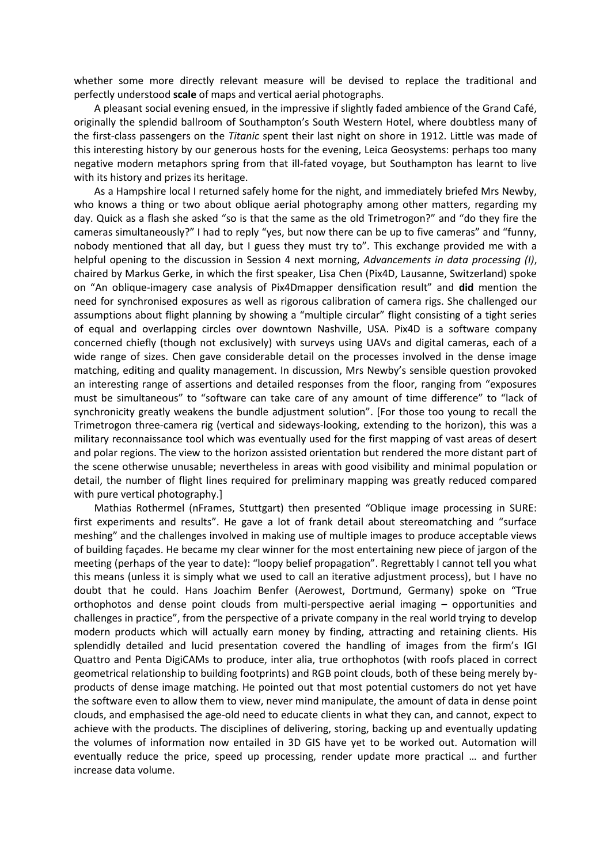whether some more directly relevant measure will be devised to replace the traditional and perfectly understood **scale** of maps and vertical aerial photographs.

A pleasant social evening ensued, in the impressive if slightly faded ambience of the Grand Café, originally the splendid ballroom of Southampton's South Western Hotel, where doubtless many of the first-class passengers on the *Titanic* spent their last night on shore in 1912. Little was made of this interesting history by our generous hosts for the evening, Leica Geosystems: perhaps too many negative modern metaphors spring from that ill-fated voyage, but Southampton has learnt to live with its history and prizes its heritage.

As a Hampshire local I returned safely home for the night, and immediately briefed Mrs Newby, who knows a thing or two about oblique aerial photography among other matters, regarding my day. Quick as a flash she asked "so is that the same as the old Trimetrogon?" and "do they fire the cameras simultaneously?" I had to reply "yes, but now there can be up to five cameras" and "funny, nobody mentioned that all day, but I guess they must try to". This exchange provided me with a helpful opening to the discussion in Session 4 next morning, *Advancements in data processing (I)*, chaired by Markus Gerke, in which the first speaker, Lisa Chen (Pix4D, Lausanne, Switzerland) spoke on "An oblique-imagery case analysis of Pix4Dmapper densification result" and **did** mention the need for synchronised exposures as well as rigorous calibration of camera rigs. She challenged our assumptions about flight planning by showing a "multiple circular" flight consisting of a tight series of equal and overlapping circles over downtown Nashville, USA. Pix4D is a software company concerned chiefly (though not exclusively) with surveys using UAVs and digital cameras, each of a wide range of sizes. Chen gave considerable detail on the processes involved in the dense image matching, editing and quality management. In discussion, Mrs Newby's sensible question provoked an interesting range of assertions and detailed responses from the floor, ranging from "exposures must be simultaneous" to "software can take care of any amount of time difference" to "lack of synchronicity greatly weakens the bundle adjustment solution". [For those too young to recall the Trimetrogon three-camera rig (vertical and sideways-looking, extending to the horizon), this was a military reconnaissance tool which was eventually used for the first mapping of vast areas of desert and polar regions. The view to the horizon assisted orientation but rendered the more distant part of the scene otherwise unusable; nevertheless in areas with good visibility and minimal population or detail, the number of flight lines required for preliminary mapping was greatly reduced compared with pure vertical photography.]

Mathias Rothermel (nFrames, Stuttgart) then presented "Oblique image processing in SURE: first experiments and results". He gave a lot of frank detail about stereomatching and "surface meshing" and the challenges involved in making use of multiple images to produce acceptable views of building façades. He became my clear winner for the most entertaining new piece of jargon of the meeting (perhaps of the year to date): "loopy belief propagation". Regrettably I cannot tell you what this means (unless it is simply what we used to call an iterative adjustment process), but I have no doubt that he could. Hans Joachim Benfer (Aerowest, Dortmund, Germany) spoke on "True orthophotos and dense point clouds from multi-perspective aerial imaging – opportunities and challenges in practice", from the perspective of a private company in the real world trying to develop modern products which will actually earn money by finding, attracting and retaining clients. His splendidly detailed and lucid presentation covered the handling of images from the firm's IGI Quattro and Penta DigiCAMs to produce, inter alia, true orthophotos (with roofs placed in correct geometrical relationship to building footprints) and RGB point clouds, both of these being merely byproducts of dense image matching. He pointed out that most potential customers do not yet have the software even to allow them to view, never mind manipulate, the amount of data in dense point clouds, and emphasised the age-old need to educate clients in what they can, and cannot, expect to achieve with the products. The disciplines of delivering, storing, backing up and eventually updating the volumes of information now entailed in 3D GIS have yet to be worked out. Automation will eventually reduce the price, speed up processing, render update more practical … and further increase data volume.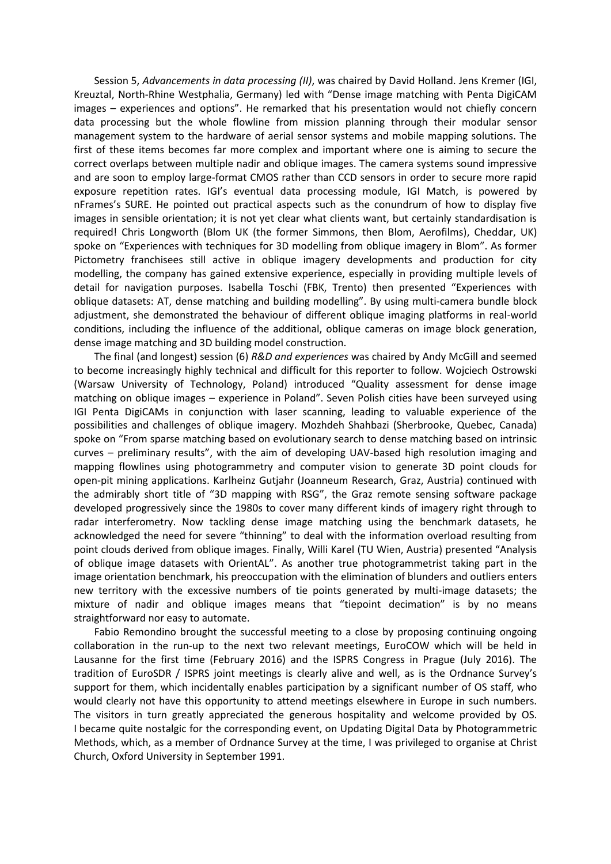Session 5, *Advancements in data processing (II)*, was chaired by David Holland. Jens Kremer (IGI, Kreuztal, North-Rhine Westphalia, Germany) led with "Dense image matching with Penta DigiCAM images – experiences and options". He remarked that his presentation would not chiefly concern data processing but the whole flowline from mission planning through their modular sensor management system to the hardware of aerial sensor systems and mobile mapping solutions. The first of these items becomes far more complex and important where one is aiming to secure the correct overlaps between multiple nadir and oblique images. The camera systems sound impressive and are soon to employ large-format CMOS rather than CCD sensors in order to secure more rapid exposure repetition rates. IGI's eventual data processing module, IGI Match, is powered by nFrames's SURE. He pointed out practical aspects such as the conundrum of how to display five images in sensible orientation; it is not yet clear what clients want, but certainly standardisation is required! Chris Longworth (Blom UK (the former Simmons, then Blom, Aerofilms), Cheddar, UK) spoke on "Experiences with techniques for 3D modelling from oblique imagery in Blom". As former Pictometry franchisees still active in oblique imagery developments and production for city modelling, the company has gained extensive experience, especially in providing multiple levels of detail for navigation purposes. Isabella Toschi (FBK, Trento) then presented "Experiences with oblique datasets: AT, dense matching and building modelling". By using multi-camera bundle block adjustment, she demonstrated the behaviour of different oblique imaging platforms in real-world conditions, including the influence of the additional, oblique cameras on image block generation, dense image matching and 3D building model construction.

The final (and longest) session (6) *R&D and experiences* was chaired by Andy McGill and seemed to become increasingly highly technical and difficult for this reporter to follow. Wojciech Ostrowski (Warsaw University of Technology, Poland) introduced "Quality assessment for dense image matching on oblique images – experience in Poland". Seven Polish cities have been surveyed using IGI Penta DigiCAMs in conjunction with laser scanning, leading to valuable experience of the possibilities and challenges of oblique imagery. Mozhdeh Shahbazi (Sherbrooke, Quebec, Canada) spoke on "From sparse matching based on evolutionary search to dense matching based on intrinsic curves – preliminary results", with the aim of developing UAV-based high resolution imaging and mapping flowlines using photogrammetry and computer vision to generate 3D point clouds for open-pit mining applications. Karlheinz Gutjahr (Joanneum Research, Graz, Austria) continued with the admirably short title of "3D mapping with RSG", the Graz remote sensing software package developed progressively since the 1980s to cover many different kinds of imagery right through to radar interferometry. Now tackling dense image matching using the benchmark datasets, he acknowledged the need for severe "thinning" to deal with the information overload resulting from point clouds derived from oblique images. Finally, Willi Karel (TU Wien, Austria) presented "Analysis of oblique image datasets with OrientAL". As another true photogrammetrist taking part in the image orientation benchmark, his preoccupation with the elimination of blunders and outliers enters new territory with the excessive numbers of tie points generated by multi-image datasets; the mixture of nadir and oblique images means that "tiepoint decimation" is by no means straightforward nor easy to automate.

Fabio Remondino brought the successful meeting to a close by proposing continuing ongoing collaboration in the run-up to the next two relevant meetings, EuroCOW which will be held in Lausanne for the first time (February 2016) and the ISPRS Congress in Prague (July 2016). The tradition of EuroSDR / ISPRS joint meetings is clearly alive and well, as is the Ordnance Survey's support for them, which incidentally enables participation by a significant number of OS staff, who would clearly not have this opportunity to attend meetings elsewhere in Europe in such numbers. The visitors in turn greatly appreciated the generous hospitality and welcome provided by OS. I became quite nostalgic for the corresponding event, on Updating Digital Data by Photogrammetric Methods, which, as a member of Ordnance Survey at the time, I was privileged to organise at Christ Church, Oxford University in September 1991.